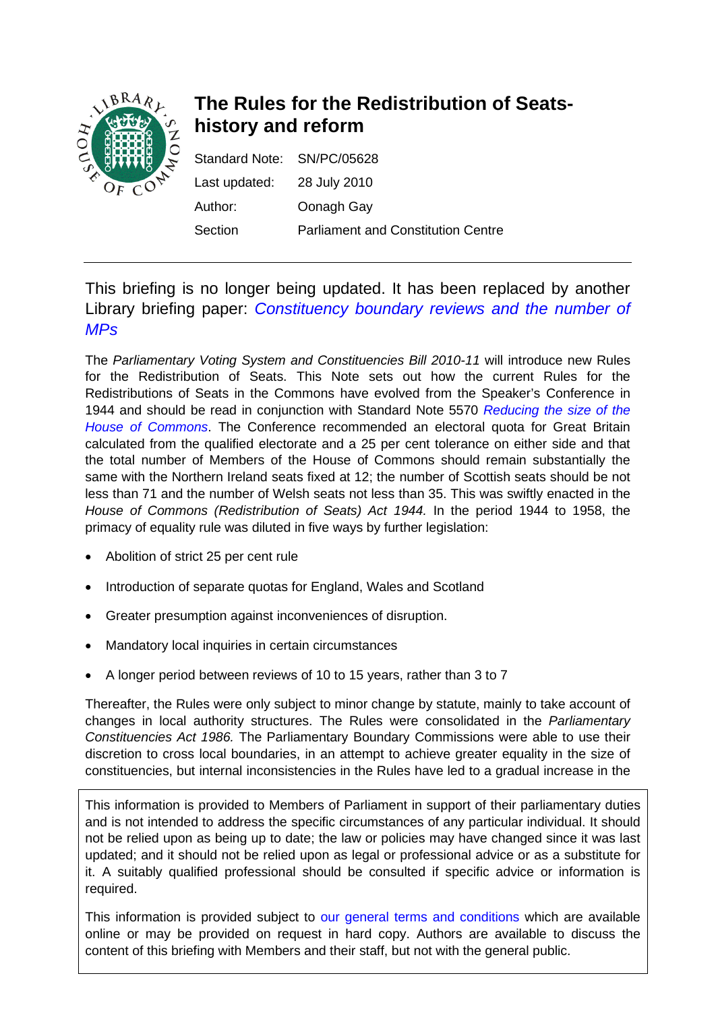

# **The Rules for the Redistribution of Seatshistory and reform**

| Standard Note: SN/PC/05628 |                                           |
|----------------------------|-------------------------------------------|
| Last updated: 28 July 2010 |                                           |
| Author:                    | Oonagh Gay                                |
| Section                    | <b>Parliament and Constitution Centre</b> |

# This briefing is no longer being updated. It has been replaced by another Library briefing paper: *[Constituency boundary reviews and the number of](https://commonslibrary.parliament.uk/research-briefings/sn05929/)  [MPs](https://commonslibrary.parliament.uk/research-briefings/sn05929/)*

The *Parliamentary Voting System and Constituencies Bill 2010-11* will introduce new Rules for the Redistribution of Seats. This Note sets out how the current Rules for the Redistributions of Seats in the Commons have evolved from the Speaker's Conference in 1944 and should be read in conjunction with Standard Note 5570 *[Reducing the size of the](http://www.parliament.uk/documents/commons/lib/research/briefings/snpc-05570.pdf)  [House of Commons](http://www.parliament.uk/documents/commons/lib/research/briefings/snpc-05570.pdf)*. The Conference recommended an electoral quota for Great Britain calculated from the qualified electorate and a 25 per cent tolerance on either side and that the total number of Members of the House of Commons should remain substantially the same with the Northern Ireland seats fixed at 12; the number of Scottish seats should be not less than 71 and the number of Welsh seats not less than 35. This was swiftly enacted in the *House of Commons (Redistribution of Seats) Act 1944.* In the period 1944 to 1958, the primacy of equality rule was diluted in five ways by further legislation:

- Abolition of strict 25 per cent rule
- Introduction of separate quotas for England, Wales and Scotland
- Greater presumption against inconveniences of disruption.
- Mandatory local inquiries in certain circumstances
- A longer period between reviews of 10 to 15 years, rather than 3 to 7

Thereafter, the Rules were only subject to minor change by statute, mainly to take account of changes in local authority structures. The Rules were consolidated in the *Parliamentary Constituencies Act 1986.* The Parliamentary Boundary Commissions were able to use their discretion to cross local boundaries, in an attempt to achieve greater equality in the size of constituencies, but internal inconsistencies in the Rules have led to a gradual increase in the

This information is provided to Members of Parliament in support of their parliamentary duties and is not intended to address the specific circumstances of any particular individual. It should not be relied upon as being up to date; the law or policies may have changed since it was last updated; and it should not be relied upon as legal or professional advice or as a substitute for it. A suitably qualified professional should be consulted if specific advice or information is required.

This information is provided subject to [our general terms and conditions](http://www.parliament.uk/site_information/parliamentary_copyright.cfm) which are available online or may be provided on request in hard copy. Authors are available to discuss the content of this briefing with Members and their staff, but not with the general public.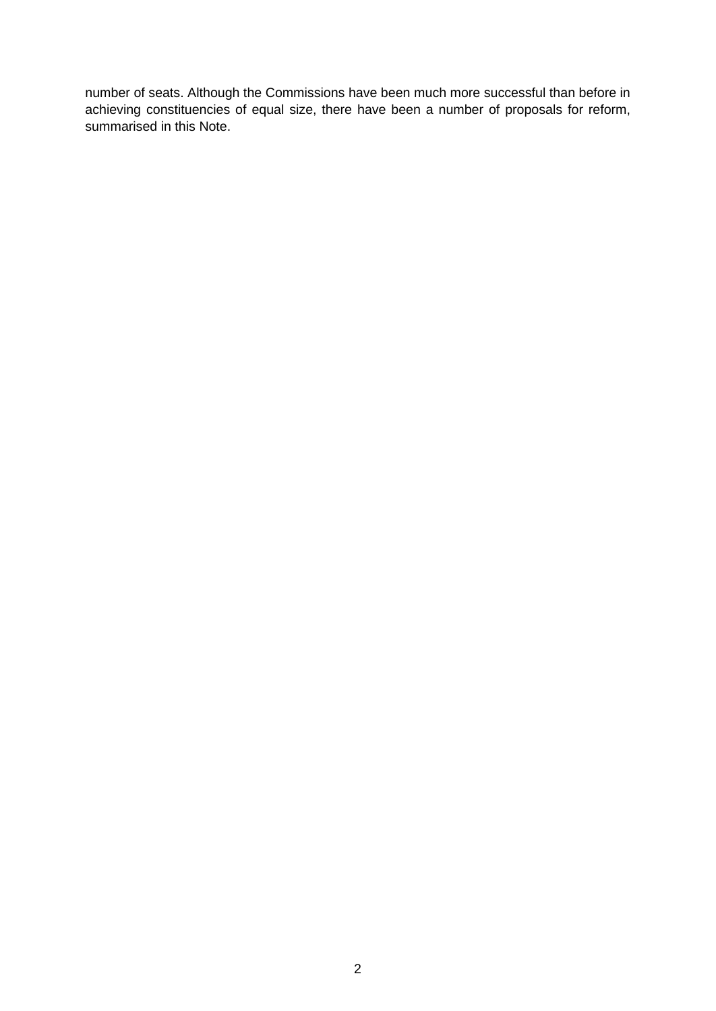number of seats. Although the Commissions have been much more successful than before in achieving constituencies of equal size, there have been a number of proposals for reform, summarised in this Note.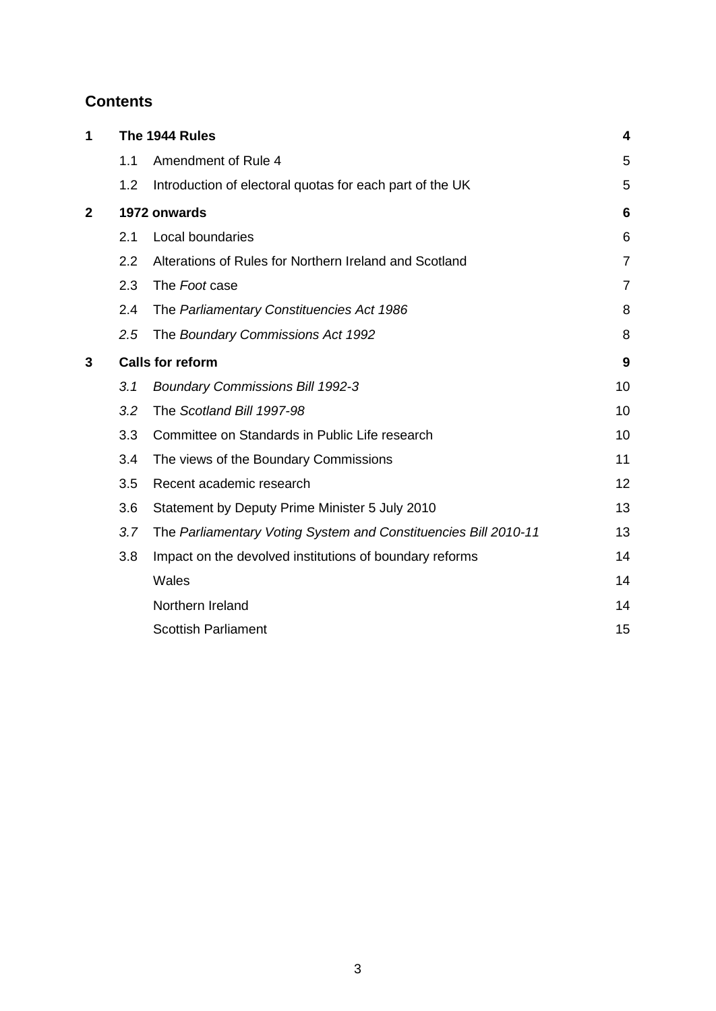# **Contents**

| 1              | The 1944 Rules |                                                                 | 4              |
|----------------|----------------|-----------------------------------------------------------------|----------------|
|                | 1.1            | Amendment of Rule 4                                             | 5              |
|                | 1.2            | Introduction of electoral quotas for each part of the UK        | 5              |
| $\overline{2}$ |                | 1972 onwards                                                    |                |
|                | 2.1            | Local boundaries                                                | 6              |
|                | 2.2            | Alterations of Rules for Northern Ireland and Scotland          | $\overline{7}$ |
|                | 2.3            | The Foot case                                                   | 7              |
|                | 2.4            | The Parliamentary Constituencies Act 1986                       | 8              |
|                | 2.5            | The Boundary Commissions Act 1992                               | 8              |
| 3              |                | <b>Calls for reform</b>                                         |                |
|                | 3.1            | <b>Boundary Commissions Bill 1992-3</b>                         | 10             |
|                | 3.2            | The Scotland Bill 1997-98                                       | 10             |
|                | 3.3            | Committee on Standards in Public Life research                  | 10             |
|                | 3.4            | The views of the Boundary Commissions                           | 11             |
|                | 3.5            | Recent academic research                                        | 12             |
|                | 3.6            | Statement by Deputy Prime Minister 5 July 2010                  | 13             |
|                | 3.7            | The Parliamentary Voting System and Constituencies Bill 2010-11 | 13             |
|                | 3.8            | Impact on the devolved institutions of boundary reforms         | 14             |
|                |                | Wales                                                           | 14             |
|                |                | Northern Ireland                                                | 14             |
|                |                | <b>Scottish Parliament</b>                                      | 15             |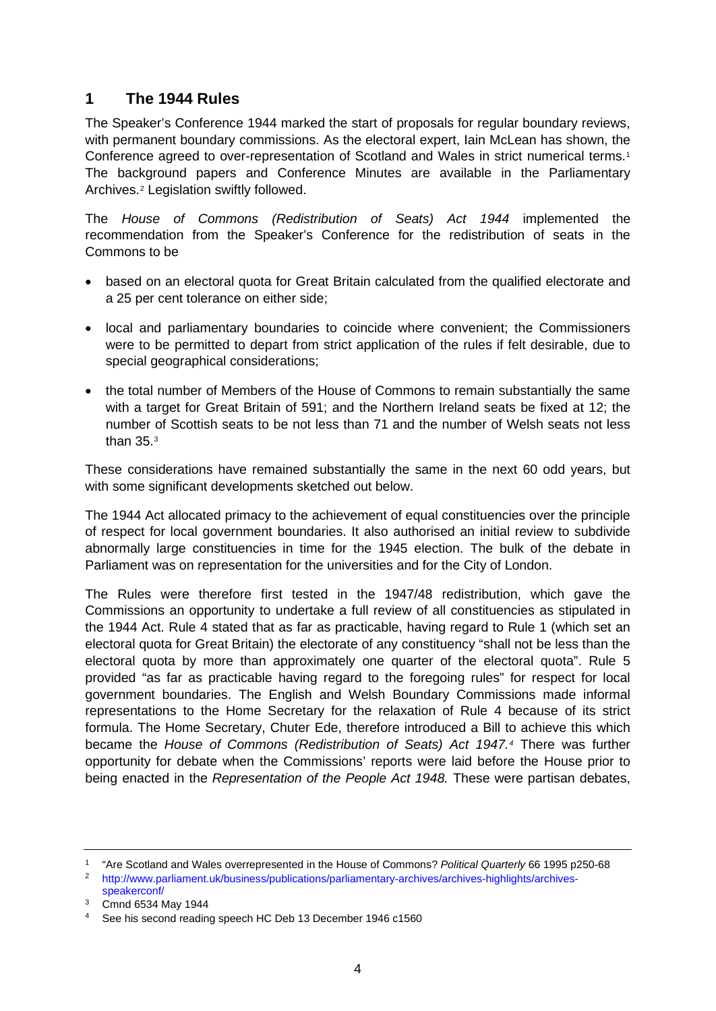## **1 The 1944 Rules**

The Speaker's Conference 1944 marked the start of proposals for regular boundary reviews, with permanent boundary commissions. As the electoral expert, Iain McLean has shown, the Conference agreed to over-representation of Scotland and Wales in strict numerical terms.[1](#page-3-0) The background papers and Conference Minutes are available in the Parliamentary Archives.[2](#page-3-1) Legislation swiftly followed.

The *House of Commons (Redistribution of Seats) Act 1944* implemented the recommendation from the Speaker's Conference for the redistribution of seats in the Commons to be

- based on an electoral quota for Great Britain calculated from the qualified electorate and a 25 per cent tolerance on either side;
- local and parliamentary boundaries to coincide where convenient; the Commissioners were to be permitted to depart from strict application of the rules if felt desirable, due to special geographical considerations;
- the total number of Members of the House of Commons to remain substantially the same with a target for Great Britain of 591; and the Northern Ireland seats be fixed at 12; the number of Scottish seats to be not less than 71 and the number of Welsh seats not less than 35.[3](#page-3-2)

These considerations have remained substantially the same in the next 60 odd years, but with some significant developments sketched out below.

The 1944 Act allocated primacy to the achievement of equal constituencies over the principle of respect for local government boundaries. It also authorised an initial review to subdivide abnormally large constituencies in time for the 1945 election. The bulk of the debate in Parliament was on representation for the universities and for the City of London.

The Rules were therefore first tested in the 1947/48 redistribution, which gave the Commissions an opportunity to undertake a full review of all constituencies as stipulated in the 1944 Act. Rule 4 stated that as far as practicable, having regard to Rule 1 (which set an electoral quota for Great Britain) the electorate of any constituency "shall not be less than the electoral quota by more than approximately one quarter of the electoral quota". Rule 5 provided "as far as practicable having regard to the foregoing rules" for respect for local government boundaries. The English and Welsh Boundary Commissions made informal representations to the Home Secretary for the relaxation of Rule 4 because of its strict formula. The Home Secretary, Chuter Ede, therefore introduced a Bill to achieve this which became the *House of Commons (Redistribution of Seats) Act 1947.[4](#page-3-3)* There was further opportunity for debate when the Commissions' reports were laid before the House prior to being enacted in the *Representation of the People Act 1948.* These were partisan debates,

<sup>1</sup> "Are Scotland and Wales overrepresented in the House of Commons? *Political Quarterly* 66 1995 p250-68

<span id="page-3-1"></span><span id="page-3-0"></span><sup>2</sup> [http://www.parliament.uk/business/publications/parliamentary-archives/archives-highlights/archives](http://www.parliament.uk/business/publications/parliamentary-archives/archives-highlights/archives-speakerconf/)[speakerconf/](http://www.parliament.uk/business/publications/parliamentary-archives/archives-highlights/archives-speakerconf/)

<span id="page-3-2"></span><sup>3</sup> Cmnd 6534 May 1944

<span id="page-3-3"></span><sup>4</sup> See his second reading speech HC Deb 13 December 1946 c1560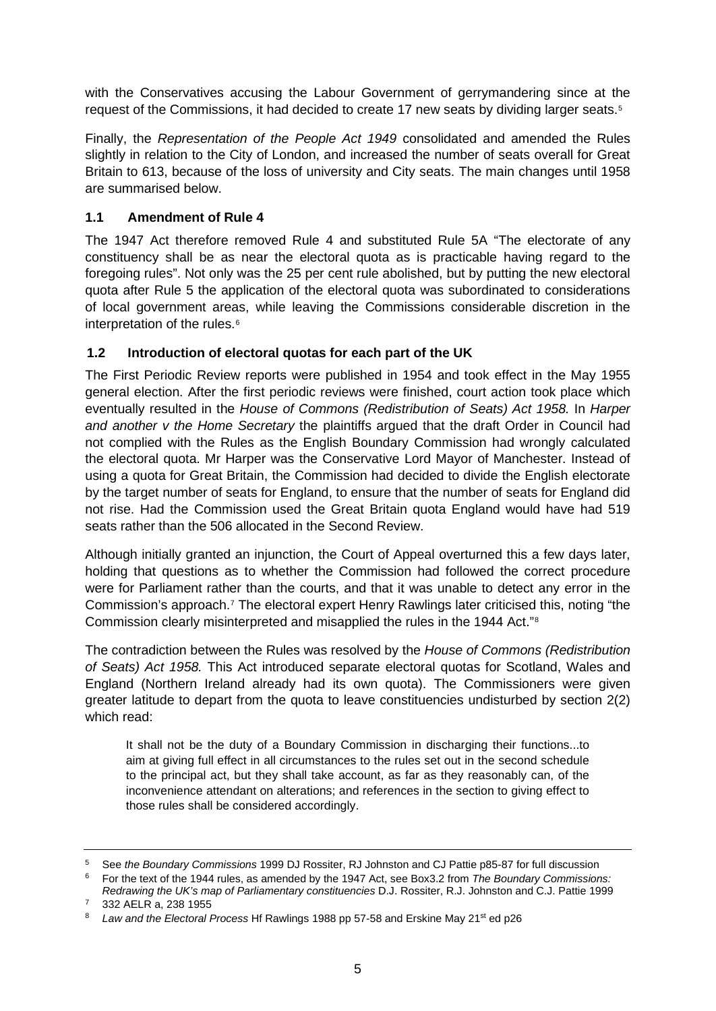with the Conservatives accusing the Labour Government of gerrymandering since at the request of the Commissions, it had decided to create 17 new seats by dividing larger seats.<sup>[5](#page-4-0)</sup>

Finally, the *Representation of the People Act 1949* consolidated and amended the Rules slightly in relation to the City of London, and increased the number of seats overall for Great Britain to 613, because of the loss of university and City seats. The main changes until 1958 are summarised below.

### **1.1 Amendment of Rule 4**

The 1947 Act therefore removed Rule 4 and substituted Rule 5A "The electorate of any constituency shall be as near the electoral quota as is practicable having regard to the foregoing rules". Not only was the 25 per cent rule abolished, but by putting the new electoral quota after Rule 5 the application of the electoral quota was subordinated to considerations of local government areas, while leaving the Commissions considerable discretion in the interpretation of the rules.<sup>[6](#page-4-1)</sup>

### **1.2 Introduction of electoral quotas for each part of the UK**

The First Periodic Review reports were published in 1954 and took effect in the May 1955 general election. After the first periodic reviews were finished, court action took place which eventually resulted in the *House of Commons (Redistribution of Seats) Act 1958.* In *Harper and another v the Home Secretary* the plaintiffs argued that the draft Order in Council had not complied with the Rules as the English Boundary Commission had wrongly calculated the electoral quota. Mr Harper was the Conservative Lord Mayor of Manchester. Instead of using a quota for Great Britain, the Commission had decided to divide the English electorate by the target number of seats for England, to ensure that the number of seats for England did not rise. Had the Commission used the Great Britain quota England would have had 519 seats rather than the 506 allocated in the Second Review.

Although initially granted an injunction, the Court of Appeal overturned this a few days later, holding that questions as to whether the Commission had followed the correct procedure were for Parliament rather than the courts, and that it was unable to detect any error in the Commission's approach.[7](#page-4-2) The electoral expert Henry Rawlings later criticised this, noting "the Commission clearly misinterpreted and misapplied the rules in the 1944 Act."[8](#page-4-3)

The contradiction between the Rules was resolved by the *House of Commons (Redistribution of Seats) Act 1958.* This Act introduced separate electoral quotas for Scotland, Wales and England (Northern Ireland already had its own quota). The Commissioners were given greater latitude to depart from the quota to leave constituencies undisturbed by section 2(2) which read:

It shall not be the duty of a Boundary Commission in discharging their functions...to aim at giving full effect in all circumstances to the rules set out in the second schedule to the principal act, but they shall take account, as far as they reasonably can, of the inconvenience attendant on alterations; and references in the section to giving effect to those rules shall be considered accordingly.

<sup>5</sup> See *the Boundary Commissions* 1999 DJ Rossiter, RJ Johnston and CJ Pattie p85-87 for full discussion

<span id="page-4-1"></span><span id="page-4-0"></span><sup>6</sup> For the text of the 1944 rules, as amended by the 1947 Act, see Box3.2 from *The Boundary Commissions:* 

*Redrawing the UK's map of Parliamentary constituencies* D.J. Rossiter, R.J. Johnston and C.J. Pattie 1999 <sup>7</sup> 332 AELR a, 238 1955

<span id="page-4-3"></span><span id="page-4-2"></span><sup>&</sup>lt;sup>8</sup> *Law and the Electoral Process Hf Rawlings 1988 pp 57-58 and Erskine May 21<sup>st</sup> ed p26*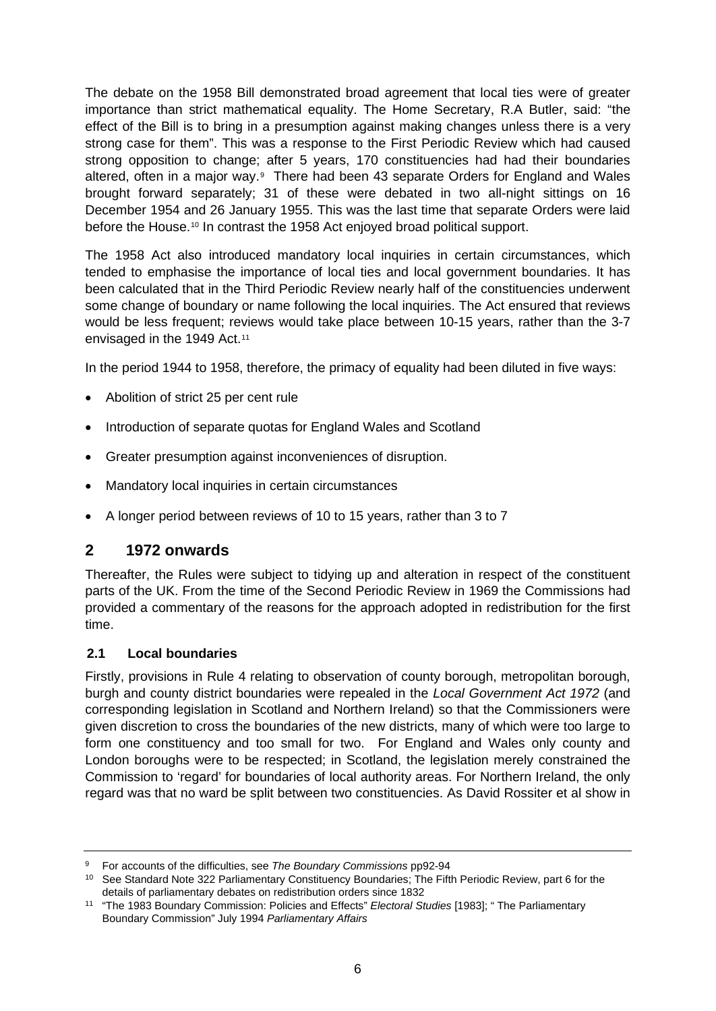The debate on the 1958 Bill demonstrated broad agreement that local ties were of greater importance than strict mathematical equality. The Home Secretary, R.A Butler, said: "the effect of the Bill is to bring in a presumption against making changes unless there is a very strong case for them". This was a response to the First Periodic Review which had caused strong opposition to change; after 5 years, 170 constituencies had had their boundaries altered, often in a major way.<sup>[9](#page-5-0)</sup> There had been 43 separate Orders for England and Wales brought forward separately; 31 of these were debated in two all-night sittings on 16 December 1954 and 26 January 1955. This was the last time that separate Orders were laid before the House.<sup>[10](#page-5-1)</sup> In contrast the 1958 Act enjoyed broad political support.

The 1958 Act also introduced mandatory local inquiries in certain circumstances, which tended to emphasise the importance of local ties and local government boundaries. It has been calculated that in the Third Periodic Review nearly half of the constituencies underwent some change of boundary or name following the local inquiries. The Act ensured that reviews would be less frequent; reviews would take place between 10-15 years, rather than the 3-7 envisaged in the 1949 Act.<sup>[11](#page-5-2)</sup>

In the period 1944 to 1958, therefore, the primacy of equality had been diluted in five ways:

- Abolition of strict 25 per cent rule
- Introduction of separate quotas for England Wales and Scotland
- Greater presumption against inconveniences of disruption.
- Mandatory local inquiries in certain circumstances
- A longer period between reviews of 10 to 15 years, rather than 3 to 7

## **2 1972 onwards**

Thereafter, the Rules were subject to tidying up and alteration in respect of the constituent parts of the UK. From the time of the Second Periodic Review in 1969 the Commissions had provided a commentary of the reasons for the approach adopted in redistribution for the first time.

### **2.1 Local boundaries**

Firstly, provisions in Rule 4 relating to observation of county borough, metropolitan borough, burgh and county district boundaries were repealed in the *Local Government Act 1972* (and corresponding legislation in Scotland and Northern Ireland) so that the Commissioners were given discretion to cross the boundaries of the new districts, many of which were too large to form one constituency and too small for two. For England and Wales only county and London boroughs were to be respected; in Scotland, the legislation merely constrained the Commission to 'regard' for boundaries of local authority areas. For Northern Ireland, the only regard was that no ward be split between two constituencies. As David Rossiter et al show in

<span id="page-5-0"></span><sup>9</sup> For accounts of the difficulties, see *The Boundary Commissions* pp92-94

<span id="page-5-1"></span><sup>10</sup> See Standard Note 322 Parliamentary Constituency Boundaries; The Fifth Periodic Review, part 6 for the details of parliamentary debates on redistribution orders since 1832

<span id="page-5-2"></span><sup>11</sup> "The 1983 Boundary Commission: Policies and Effects" *Electoral Studies* [1983]; " The Parliamentary Boundary Commission" July 1994 *Parliamentary Affairs*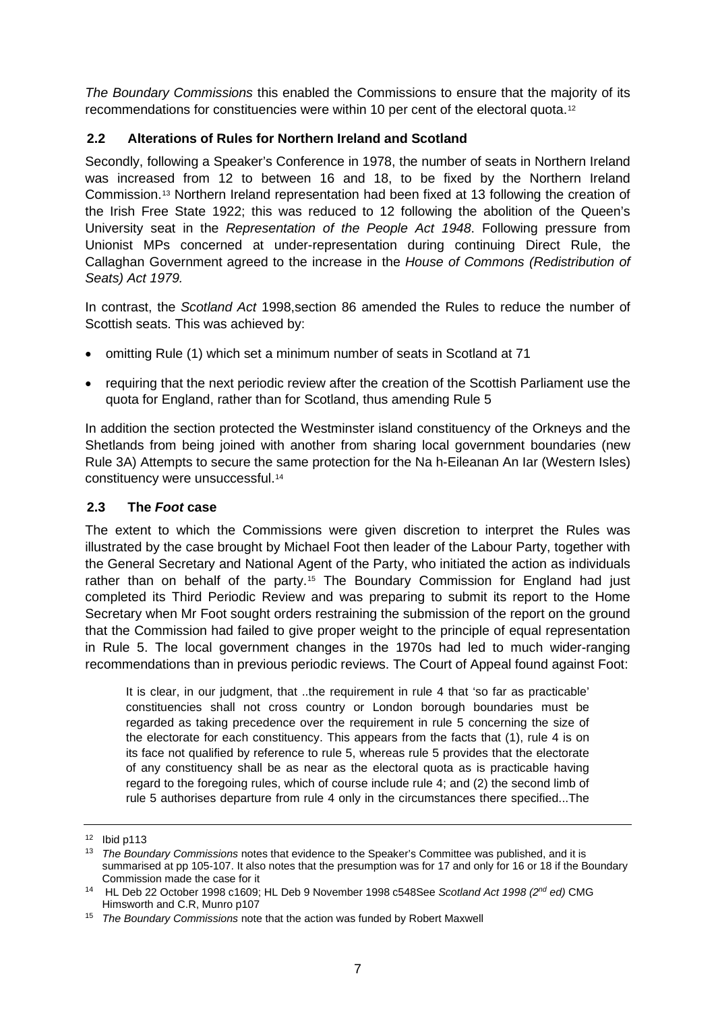*The Boundary Commissions* this enabled the Commissions to ensure that the majority of its recommendations for constituencies were within 10 per cent of the electoral quota.[12](#page-6-0)

## **2.2 Alterations of Rules for Northern Ireland and Scotland**

Secondly, following a Speaker's Conference in 1978, the number of seats in Northern Ireland was increased from 12 to between 16 and 18, to be fixed by the Northern Ireland Commission.[13](#page-6-1) Northern Ireland representation had been fixed at 13 following the creation of the Irish Free State 1922; this was reduced to 12 following the abolition of the Queen's University seat in the *Representation of the People Act 1948*. Following pressure from Unionist MPs concerned at under-representation during continuing Direct Rule, the Callaghan Government agreed to the increase in the *House of Commons (Redistribution of Seats) Act 1979.* 

In contrast, the *Scotland Act* 1998,section 86 amended the Rules to reduce the number of Scottish seats. This was achieved by:

- omitting Rule (1) which set a minimum number of seats in Scotland at 71
- requiring that the next periodic review after the creation of the Scottish Parliament use the quota for England, rather than for Scotland, thus amending Rule 5

In addition the section protected the Westminster island constituency of the Orkneys and the Shetlands from being joined with another from sharing local government boundaries (new Rule 3A) Attempts to secure the same protection for the Na h-Eileanan An Iar (Western Isles) constituency were unsuccessful.[14](#page-6-2)

### **2.3 The** *Foot* **case**

The extent to which the Commissions were given discretion to interpret the Rules was illustrated by the case brought by Michael Foot then leader of the Labour Party, together with the General Secretary and National Agent of the Party, who initiated the action as individuals rather than on behalf of the party.<sup>[15](#page-6-3)</sup> The Boundary Commission for England had just completed its Third Periodic Review and was preparing to submit its report to the Home Secretary when Mr Foot sought orders restraining the submission of the report on the ground that the Commission had failed to give proper weight to the principle of equal representation in Rule 5. The local government changes in the 1970s had led to much wider-ranging recommendations than in previous periodic reviews. The Court of Appeal found against Foot:

It is clear, in our judgment, that ..the requirement in rule 4 that 'so far as practicable' constituencies shall not cross country or London borough boundaries must be regarded as taking precedence over the requirement in rule 5 concerning the size of the electorate for each constituency. This appears from the facts that (1), rule 4 is on its face not qualified by reference to rule 5, whereas rule 5 provides that the electorate of any constituency shall be as near as the electoral quota as is practicable having regard to the foregoing rules, which of course include rule 4; and (2) the second limb of rule 5 authorises departure from rule 4 only in the circumstances there specified...The

<span id="page-6-0"></span> $12$  Ibid p113

<span id="page-6-1"></span><sup>13</sup> *The Boundary Commissions* notes that evidence to the Speaker's Committee was published, and it is summarised at pp 105-107. It also notes that the presumption was for 17 and only for 16 or 18 if the Boundary Commission made the case for it

<span id="page-6-2"></span><sup>14</sup> HL Deb 22 October 1998 c1609; HL Deb 9 November 1998 c548See *Scotland Act 1998 (2nd ed)* CMG Himsworth and C.R, Munro p107

<span id="page-6-3"></span><sup>15</sup> *The Boundary Commissions* note that the action was funded by Robert Maxwell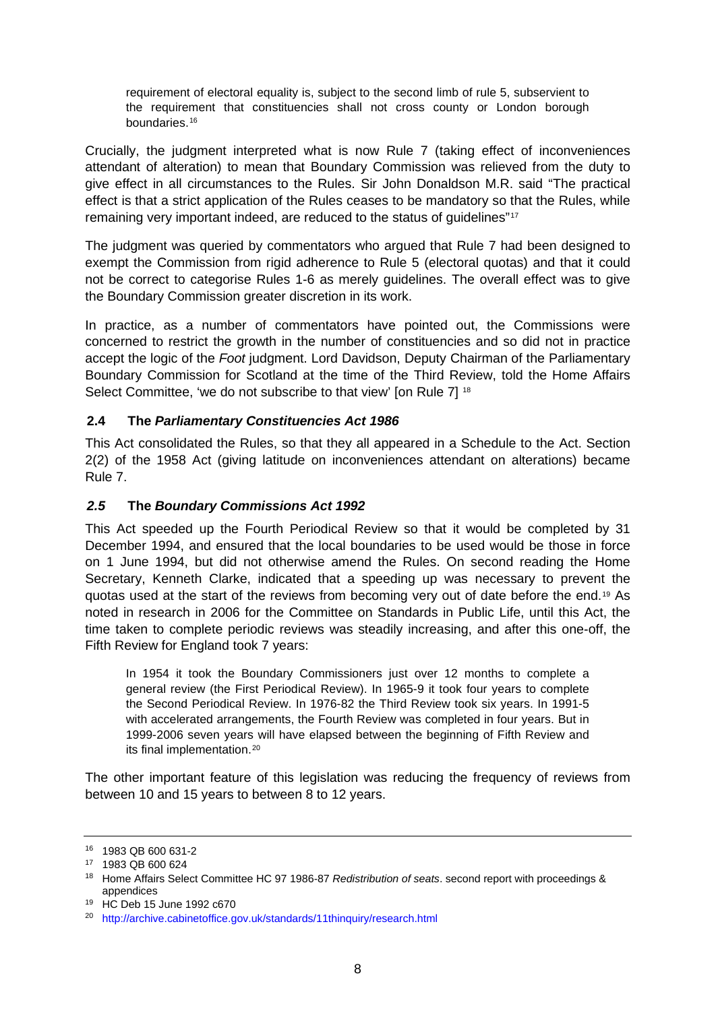requirement of electoral equality is, subject to the second limb of rule 5, subservient to the requirement that constituencies shall not cross county or London borough boundaries.[16](#page-7-0)

Crucially, the judgment interpreted what is now Rule 7 (taking effect of inconveniences attendant of alteration) to mean that Boundary Commission was relieved from the duty to give effect in all circumstances to the Rules. Sir John Donaldson M.R. said "The practical effect is that a strict application of the Rules ceases to be mandatory so that the Rules, while remaining very important indeed, are reduced to the status of guidelines"[17](#page-7-1)

The judgment was queried by commentators who argued that Rule 7 had been designed to exempt the Commission from rigid adherence to Rule 5 (electoral quotas) and that it could not be correct to categorise Rules 1-6 as merely guidelines. The overall effect was to give the Boundary Commission greater discretion in its work.

In practice, as a number of commentators have pointed out, the Commissions were concerned to restrict the growth in the number of constituencies and so did not in practice accept the logic of the *Foot* judgment. Lord Davidson, Deputy Chairman of the Parliamentary Boundary Commission for Scotland at the time of the Third Review, told the Home Affairs Select Committee, 'we do not subscribe to that view' [on Rule 7] <sup>[18](#page-7-2)</sup>

### **2.4 The** *Parliamentary Constituencies Act 1986*

This Act consolidated the Rules, so that they all appeared in a Schedule to the Act. Section 2(2) of the 1958 Act (giving latitude on inconveniences attendant on alterations) became Rule 7.

#### *2.5* **The** *Boundary Commissions Act 1992*

This Act speeded up the Fourth Periodical Review so that it would be completed by 31 December 1994, and ensured that the local boundaries to be used would be those in force on 1 June 1994, but did not otherwise amend the Rules. On second reading the Home Secretary, Kenneth Clarke, indicated that a speeding up was necessary to prevent the quotas used at the start of the reviews from becoming very out of date before the end.[19](#page-7-3) As noted in research in 2006 for the Committee on Standards in Public Life, until this Act, the time taken to complete periodic reviews was steadily increasing, and after this one-off, the Fifth Review for England took 7 years:

In 1954 it took the Boundary Commissioners just over 12 months to complete a general review (the First Periodical Review). In 1965-9 it took four years to complete the Second Periodical Review. In 1976-82 the Third Review took six years. In 1991-5 with accelerated arrangements, the Fourth Review was completed in four years. But in 1999-2006 seven years will have elapsed between the beginning of Fifth Review and its final implementation.[20](#page-7-4)

The other important feature of this legislation was reducing the frequency of reviews from between 10 and 15 years to between 8 to 12 years.

<span id="page-7-0"></span><sup>16</sup> 1983 QB 600 631-2

<span id="page-7-1"></span><sup>17</sup> 1983 QB 600 624

<span id="page-7-2"></span><sup>18</sup> Home Affairs Select Committee HC 97 1986-87 *Redistribution of seats*. second report with proceedings & appendices<br><sup>19</sup> HC Deb 15 June 1992 c670

<span id="page-7-4"></span><span id="page-7-3"></span><sup>20</sup> <http://archive.cabinetoffice.gov.uk/standards/11thinquiry/research.html>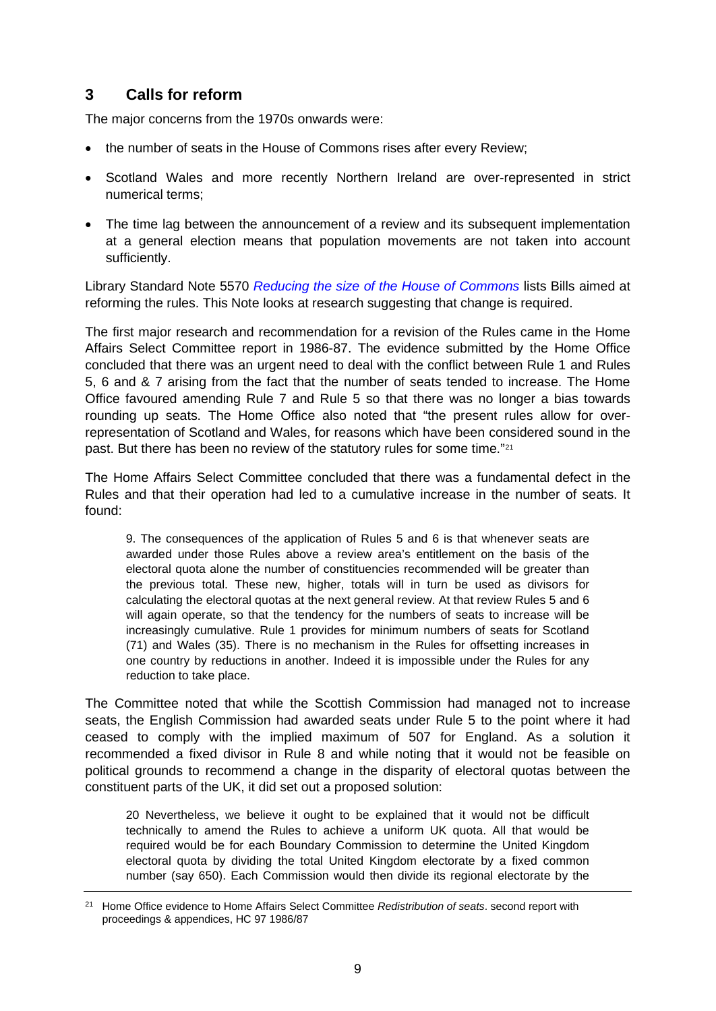## **3 Calls for reform**

The major concerns from the 1970s onwards were:

- the number of seats in the House of Commons rises after every Review;
- Scotland Wales and more recently Northern Ireland are over-represented in strict numerical terms;
- The time lag between the announcement of a review and its subsequent implementation at a general election means that population movements are not taken into account sufficiently.

Library Standard Note 5570 *[Reducing the size of the House of Commons](http://www.parliament.uk/documents/commons/lib/research/briefings/snpc-05570.pdf)* lists Bills aimed at reforming the rules. This Note looks at research suggesting that change is required.

The first major research and recommendation for a revision of the Rules came in the Home Affairs Select Committee report in 1986-87. The evidence submitted by the Home Office concluded that there was an urgent need to deal with the conflict between Rule 1 and Rules 5, 6 and & 7 arising from the fact that the number of seats tended to increase. The Home Office favoured amending Rule 7 and Rule 5 so that there was no longer a bias towards rounding up seats. The Home Office also noted that "the present rules allow for overrepresentation of Scotland and Wales, for reasons which have been considered sound in the past. But there has been no review of the statutory rules for some time."[21](#page-8-0)

The Home Affairs Select Committee concluded that there was a fundamental defect in the Rules and that their operation had led to a cumulative increase in the number of seats. It found:

9. The consequences of the application of Rules 5 and 6 is that whenever seats are awarded under those Rules above a review area's entitlement on the basis of the electoral quota alone the number of constituencies recommended will be greater than the previous total. These new, higher, totals will in turn be used as divisors for calculating the electoral quotas at the next general review. At that review Rules 5 and 6 will again operate, so that the tendency for the numbers of seats to increase will be increasingly cumulative. Rule 1 provides for minimum numbers of seats for Scotland (71) and Wales (35). There is no mechanism in the Rules for offsetting increases in one country by reductions in another. Indeed it is impossible under the Rules for any reduction to take place.

The Committee noted that while the Scottish Commission had managed not to increase seats, the English Commission had awarded seats under Rule 5 to the point where it had ceased to comply with the implied maximum of 507 for England. As a solution it recommended a fixed divisor in Rule 8 and while noting that it would not be feasible on political grounds to recommend a change in the disparity of electoral quotas between the constituent parts of the UK, it did set out a proposed solution:

20 Nevertheless, we believe it ought to be explained that it would not be difficult technically to amend the Rules to achieve a uniform UK quota. All that would be required would be for each Boundary Commission to determine the United Kingdom electoral quota by dividing the total United Kingdom electorate by a fixed common number (say 650). Each Commission would then divide its regional electorate by the

<span id="page-8-0"></span><sup>21</sup> Home Office evidence to Home Affairs Select Committee *Redistribution of seats*. second report with proceedings & appendices, HC 97 1986/87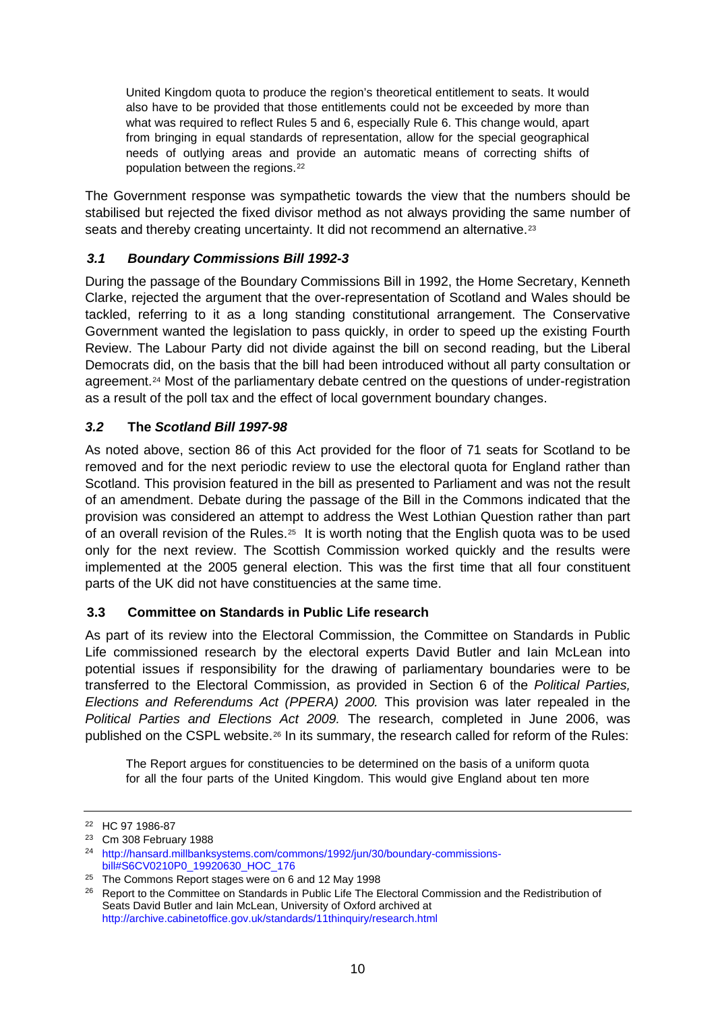United Kingdom quota to produce the region's theoretical entitlement to seats. It would also have to be provided that those entitlements could not be exceeded by more than what was required to reflect Rules 5 and 6, especially Rule 6. This change would, apart from bringing in equal standards of representation, allow for the special geographical needs of outlying areas and provide an automatic means of correcting shifts of population between the regions.[22](#page-9-0)

The Government response was sympathetic towards the view that the numbers should be stabilised but rejected the fixed divisor method as not always providing the same number of seats and thereby creating uncertainty. It did not recommend an alternative.<sup>[23](#page-9-1)</sup>

## *3.1 Boundary Commissions Bill 1992-3*

During the passage of the Boundary Commissions Bill in 1992, the Home Secretary, Kenneth Clarke, rejected the argument that the over-representation of Scotland and Wales should be tackled, referring to it as a long standing constitutional arrangement. The Conservative Government wanted the legislation to pass quickly, in order to speed up the existing Fourth Review. The Labour Party did not divide against the bill on second reading, but the Liberal Democrats did, on the basis that the bill had been introduced without all party consultation or agreement.<sup>[24](#page-9-2)</sup> Most of the parliamentary debate centred on the questions of under-registration as a result of the poll tax and the effect of local government boundary changes.

## *3.2* **The** *Scotland Bill 1997-98*

As noted above, section 86 of this Act provided for the floor of 71 seats for Scotland to be removed and for the next periodic review to use the electoral quota for England rather than Scotland. This provision featured in the bill as presented to Parliament and was not the result of an amendment. Debate during the passage of the Bill in the Commons indicated that the provision was considered an attempt to address the West Lothian Question rather than part of an overall revision of the Rules.<sup>[25](#page-9-3)</sup> It is worth noting that the English quota was to be used only for the next review. The Scottish Commission worked quickly and the results were implemented at the 2005 general election. This was the first time that all four constituent parts of the UK did not have constituencies at the same time.

### **3.3 Committee on Standards in Public Life research**

As part of its review into the Electoral Commission, the Committee on Standards in Public Life commissioned research by the electoral experts David Butler and Iain McLean into potential issues if responsibility for the drawing of parliamentary boundaries were to be transferred to the Electoral Commission, as provided in Section 6 of the *Political Parties, Elections and Referendums Act (PPERA) 2000.* This provision was later repealed in the *Political Parties and Elections Act 2009.* The research, completed in June 2006, was published on the CSPL website.<sup>[26](#page-9-4)</sup> In its summary, the research called for reform of the Rules:

The Report argues for constituencies to be determined on the basis of a uniform quota for all the four parts of the United Kingdom. This would give England about ten more

<span id="page-9-0"></span><sup>22</sup> HC 97 1986-87

<span id="page-9-1"></span><sup>23</sup> Cm 308 February 1988

<span id="page-9-2"></span><sup>24</sup> [http://hansard.millbanksystems.com/commons/1992/jun/30/boundary-commissions](http://hansard.millbanksystems.com/commons/1992/jun/30/boundary-commissions-bill#S6CV0210P0_19920630_HOC_176)[bill#S6CV0210P0\\_19920630\\_HOC\\_176](http://hansard.millbanksystems.com/commons/1992/jun/30/boundary-commissions-bill#S6CV0210P0_19920630_HOC_176)

<span id="page-9-3"></span><sup>25</sup> The Commons Report stages were on 6 and 12 May 1998

<span id="page-9-4"></span><sup>&</sup>lt;sup>26</sup> Report to the Committee on Standards in Public Life The Electoral Commission and the Redistribution of Seats David Butler and Iain McLean, University of Oxford archived at <http://archive.cabinetoffice.gov.uk/standards/11thinquiry/research.html>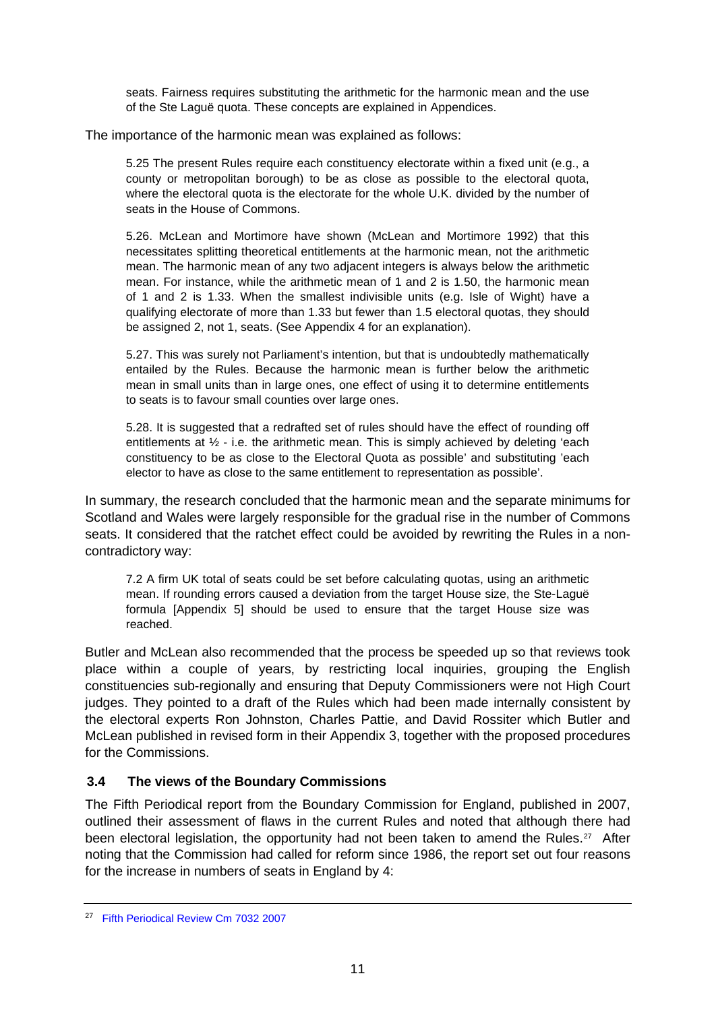seats. Fairness requires substituting the arithmetic for the harmonic mean and the use of the Ste Laguë quota. These concepts are explained in Appendices.

The importance of the harmonic mean was explained as follows:

5.25 The present Rules require each constituency electorate within a fixed unit (e.g., a county or metropolitan borough) to be as close as possible to the electoral quota, where the electoral quota is the electorate for the whole U.K. divided by the number of seats in the House of Commons.

5.26. McLean and Mortimore have shown (McLean and Mortimore 1992) that this necessitates splitting theoretical entitlements at the harmonic mean, not the arithmetic mean. The harmonic mean of any two adjacent integers is always below the arithmetic mean. For instance, while the arithmetic mean of 1 and 2 is 1.50, the harmonic mean of 1 and 2 is 1.33. When the smallest indivisible units (e.g. Isle of Wight) have a qualifying electorate of more than 1.33 but fewer than 1.5 electoral quotas, they should be assigned 2, not 1, seats. (See Appendix 4 for an explanation).

5.27. This was surely not Parliament's intention, but that is undoubtedly mathematically entailed by the Rules. Because the harmonic mean is further below the arithmetic mean in small units than in large ones, one effect of using it to determine entitlements to seats is to favour small counties over large ones.

5.28. It is suggested that a redrafted set of rules should have the effect of rounding off entitlements at  $\frac{1}{2}$  - i.e. the arithmetic mean. This is simply achieved by deleting 'each constituency to be as close to the Electoral Quota as possible' and substituting 'each elector to have as close to the same entitlement to representation as possible'.

In summary, the research concluded that the harmonic mean and the separate minimums for Scotland and Wales were largely responsible for the gradual rise in the number of Commons seats. It considered that the ratchet effect could be avoided by rewriting the Rules in a noncontradictory way:

7.2 A firm UK total of seats could be set before calculating quotas, using an arithmetic mean. If rounding errors caused a deviation from the target House size, the Ste-Laguë formula [Appendix 5] should be used to ensure that the target House size was reached.

Butler and McLean also recommended that the process be speeded up so that reviews took place within a couple of years, by restricting local inquiries, grouping the English constituencies sub-regionally and ensuring that Deputy Commissioners were not High Court judges. They pointed to a draft of the Rules which had been made internally consistent by the electoral experts Ron Johnston, Charles Pattie, and David Rossiter which Butler and McLean published in revised form in their Appendix 3, together with the proposed procedures for the Commissions.

#### **3.4 The views of the Boundary Commissions**

The Fifth Periodical report from the Boundary Commission for England, published in 2007, outlined their assessment of flaws in the current Rules and noted that although there had been electoral legislation, the opportunity had not been taken to amend the Rules.<sup>[27](#page-10-0)</sup> After noting that the Commission had called for reform since 1986, the report set out four reasons for the increase in numbers of seats in England by 4:

<span id="page-10-0"></span><sup>27</sup> [Fifth Periodical Review Cm 7032 2007](http://www.official-documents.gov.uk/document/cm70/7032/7032.pdf)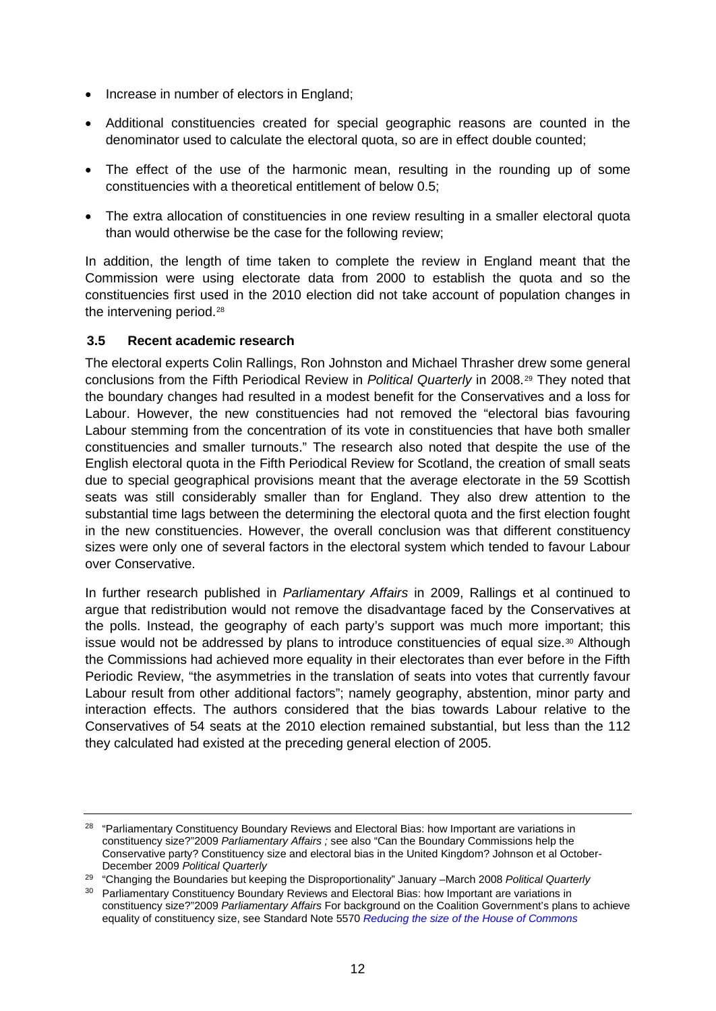- Increase in number of electors in England:
- Additional constituencies created for special geographic reasons are counted in the denominator used to calculate the electoral quota, so are in effect double counted;
- The effect of the use of the harmonic mean, resulting in the rounding up of some constituencies with a theoretical entitlement of below 0.5;
- The extra allocation of constituencies in one review resulting in a smaller electoral quota than would otherwise be the case for the following review;

In addition, the length of time taken to complete the review in England meant that the Commission were using electorate data from 2000 to establish the quota and so the constituencies first used in the 2010 election did not take account of population changes in the intervening period.<sup>[28](#page-11-0)</sup>

#### **3.5 Recent academic research**

The electoral experts Colin Rallings, Ron Johnston and Michael Thrasher drew some general conclusions from the Fifth Periodical Review in *Political Quarterly* in 2008.[29](#page-11-1) They noted that the boundary changes had resulted in a modest benefit for the Conservatives and a loss for Labour. However, the new constituencies had not removed the "electoral bias favouring Labour stemming from the concentration of its vote in constituencies that have both smaller constituencies and smaller turnouts." The research also noted that despite the use of the English electoral quota in the Fifth Periodical Review for Scotland, the creation of small seats due to special geographical provisions meant that the average electorate in the 59 Scottish seats was still considerably smaller than for England. They also drew attention to the substantial time lags between the determining the electoral quota and the first election fought in the new constituencies. However, the overall conclusion was that different constituency sizes were only one of several factors in the electoral system which tended to favour Labour over Conservative.

In further research published in *Parliamentary Affairs* in 2009, Rallings et al continued to argue that redistribution would not remove the disadvantage faced by the Conservatives at the polls. Instead, the geography of each party's support was much more important; this issue would not be addressed by plans to introduce constituencies of equal size.<sup>[30](#page-11-2)</sup> Although the Commissions had achieved more equality in their electorates than ever before in the Fifth Periodic Review, "the asymmetries in the translation of seats into votes that currently favour Labour result from other additional factors"; namely geography, abstention, minor party and interaction effects. The authors considered that the bias towards Labour relative to the Conservatives of 54 seats at the 2010 election remained substantial, but less than the 112 they calculated had existed at the preceding general election of 2005.

<span id="page-11-0"></span><sup>&</sup>lt;sup>28</sup> "Parliamentary Constituency Boundary Reviews and Electoral Bias: how Important are variations in constituency size?"2009 *Parliamentary Affairs ;* see also "Can the Boundary Commissions help the Conservative party? Constituency size and electoral bias in the United Kingdom? Johnson et al October-December 2009 *Political Quarterly*

<span id="page-11-1"></span><sup>29</sup> "Changing the Boundaries but keeping the Disproportionality" January –March 2008 *Political Quarterly*

<span id="page-11-2"></span><sup>&</sup>lt;sup>30</sup> Parliamentary Constituency Boundary Reviews and Electoral Bias: how Important are variations in constituency size?"2009 *Parliamentary Affairs* For background on the Coalition Government's plans to achieve equality of constituency size, see Standard Note 5570 *[Reducing the size of the House of Commons](http://www.parliament.uk/documents/commons/lib/research/briefings/snpc-05570.pdf)*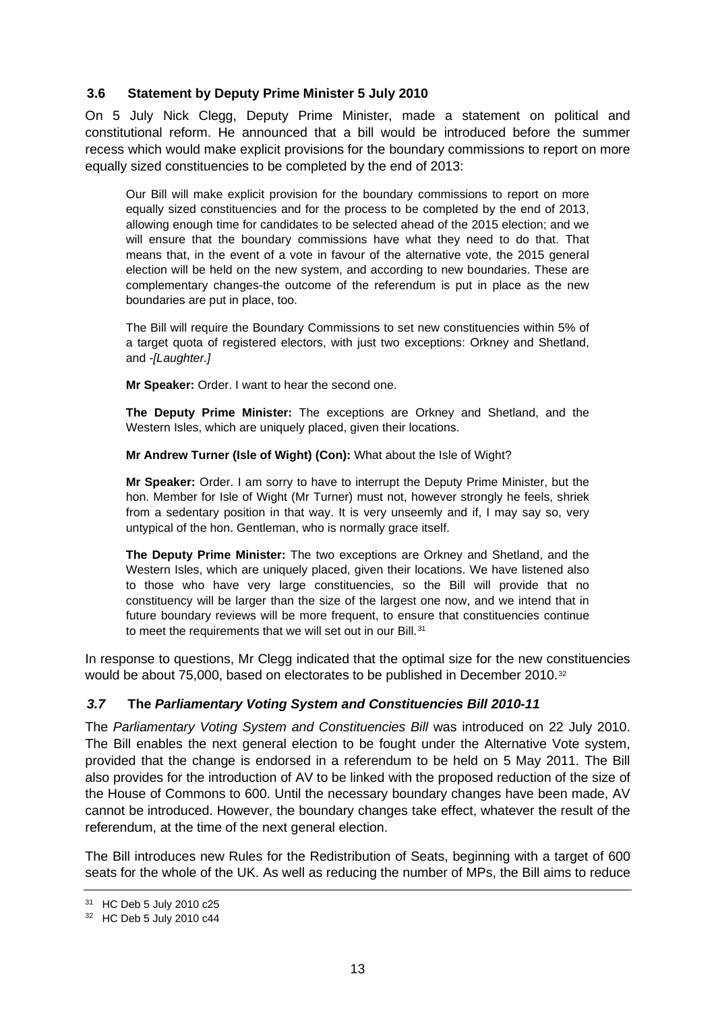#### **3.6 Statement by Deputy Prime Minister 5 July 2010**

On 5 July Nick Clegg, Deputy Prime Minister, made a statement on political and constitutional reform. He announced that a bill would be introduced before the summer recess which would make explicit provisions for the boundary commissions to report on more equally sized constituencies to be completed by the end of 2013:

Our Bill will make explicit provision for the boundary commissions to report on more equally sized constituencies and for the process to be completed by the end of 2013, allowing enough time for candidates to be selected ahead of the 2015 election; and we will ensure that the boundary commissions have what they need to do that. That means that, in the event of a vote in favour of the alternative vote, the 2015 general election will be held on the new system, and according to new boundaries. These are complementary changes-the outcome of the referendum is put in place as the new boundaries are put in place, too.

The Bill will require the Boundary Commissions to set new constituencies within 5% of a target quota of registered electors, with just two exceptions: Orkney and Shetland, and *-[Laughter.]*

**Mr Speaker:** Order. I want to hear the second one.

**The Deputy Prime Minister:** The exceptions are Orkney and Shetland, and the Western Isles, which are uniquely placed, given their locations.

**Mr Andrew Turner (Isle of Wight) (Con):** What about the Isle of Wight?

**Mr Speaker:** Order. I am sorry to have to interrupt the Deputy Prime Minister, but the hon. Member for Isle of Wight (Mr Turner) must not, however strongly he feels, shriek from a sedentary position in that way. It is very unseemly and if, I may say so, very untypical of the hon. Gentleman, who is normally grace itself.

**The Deputy Prime Minister:** The two exceptions are Orkney and Shetland, and the Western Isles, which are uniquely placed, given their locations. We have listened also to those who have very large constituencies, so the Bill will provide that no constituency will be larger than the size of the largest one now, and we intend that in future boundary reviews will be more frequent, to ensure that constituencies continue to meet the requirements that we will set out in our Bill.<sup>[31](#page-12-0)</sup>

In response to questions, Mr Clegg indicated that the optimal size for the new constituencies would be about 75,000, based on electorates to be published in December 2010.<sup>[32](#page-12-1)</sup>

### *3.7* **The** *Parliamentary Voting System and Constituencies Bill 2010-11*

The *Parliamentary Voting System and Constituencies Bill* was introduced on 22 July 2010. The Bill enables the next general election to be fought under the Alternative Vote system, provided that the change is endorsed in a referendum to be held on 5 May 2011. The Bill also provides for the introduction of AV to be linked with the proposed reduction of the size of the House of Commons to 600. Until the necessary boundary changes have been made, AV cannot be introduced. However, the boundary changes take effect, whatever the result of the referendum, at the time of the next general election.

The Bill introduces new Rules for the Redistribution of Seats, beginning with a target of 600 seats for the whole of the UK. As well as reducing the number of MPs, the Bill aims to reduce

<span id="page-12-0"></span><sup>31</sup> HC Deb 5 July 2010 c25

<span id="page-12-1"></span><sup>32</sup> HC Deb 5 July 2010 c44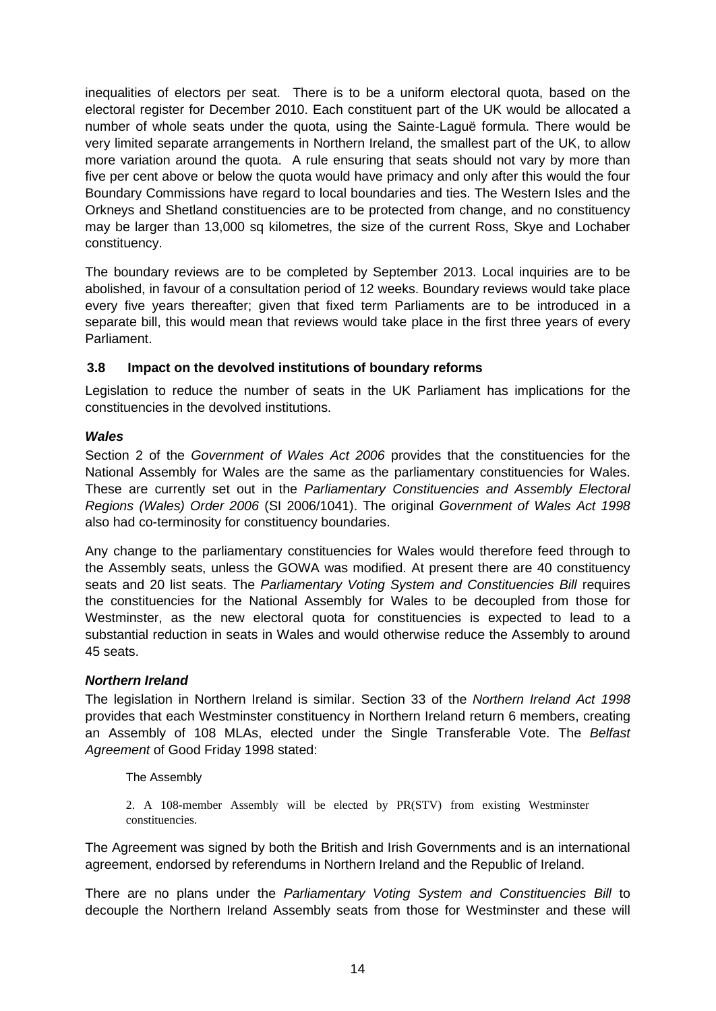inequalities of electors per seat. There is to be a uniform electoral quota, based on the electoral register for December 2010. Each constituent part of the UK would be allocated a number of whole seats under the quota, using the Sainte-Laguë formula. There would be very limited separate arrangements in Northern Ireland, the smallest part of the UK, to allow more variation around the quota. A rule ensuring that seats should not vary by more than five per cent above or below the quota would have primacy and only after this would the four Boundary Commissions have regard to local boundaries and ties. The Western Isles and the Orkneys and Shetland constituencies are to be protected from change, and no constituency may be larger than 13,000 sq kilometres, the size of the current Ross, Skye and Lochaber constituency.

The boundary reviews are to be completed by September 2013. Local inquiries are to be abolished, in favour of a consultation period of 12 weeks. Boundary reviews would take place every five years thereafter; given that fixed term Parliaments are to be introduced in a separate bill, this would mean that reviews would take place in the first three years of every Parliament.

### **3.8 Impact on the devolved institutions of boundary reforms**

Legislation to reduce the number of seats in the UK Parliament has implications for the constituencies in the devolved institutions.

### *Wales*

Section 2 of the *Government of Wales Act 2006* provides that the constituencies for the National Assembly for Wales are the same as the parliamentary constituencies for Wales. These are currently set out in the *Parliamentary Constituencies and Assembly Electoral Regions (Wales) Order 2006* [\(SI 2006/1041\)](http://www.lexisnexis.com/uk/legal/search/runRemoteLink.do?langcountry=GB&linkInfo=F%23GB%23UK_SI%23num%252006_1041s_Title%25&risb=21_T9572099525&bct=A&service=citation&A=0.9437359892516832). The original *Government of Wales Act 1998*  also had co-terminosity for constituency boundaries.

Any change to the parliamentary constituencies for Wales would therefore feed through to the Assembly seats, unless the GOWA was modified. At present there are 40 constituency seats and 20 list seats. The *Parliamentary Voting System and Constituencies Bill* requires the constituencies for the National Assembly for Wales to be decoupled from those for Westminster, as the new electoral quota for constituencies is expected to lead to a substantial reduction in seats in Wales and would otherwise reduce the Assembly to around 45 seats.

### *Northern Ireland*

The legislation in Northern Ireland is similar. Section 33 of the *Northern Ireland Act 1998*  provides that each Westminster constituency in Northern Ireland return 6 members, creating an Assembly of 108 MLAs, elected under the Single Transferable Vote. The *Belfast Agreement* of Good Friday 1998 stated:

#### The Assembly

2. A 108-member Assembly will be elected by PR(STV) from existing Westminster constituencies.

The Agreement was signed by both the British and Irish Governments and is an international agreement, endorsed by referendums in Northern Ireland and the Republic of Ireland.

There are no plans under the *Parliamentary Voting System and Constituencies Bill* to decouple the Northern Ireland Assembly seats from those for Westminster and these will